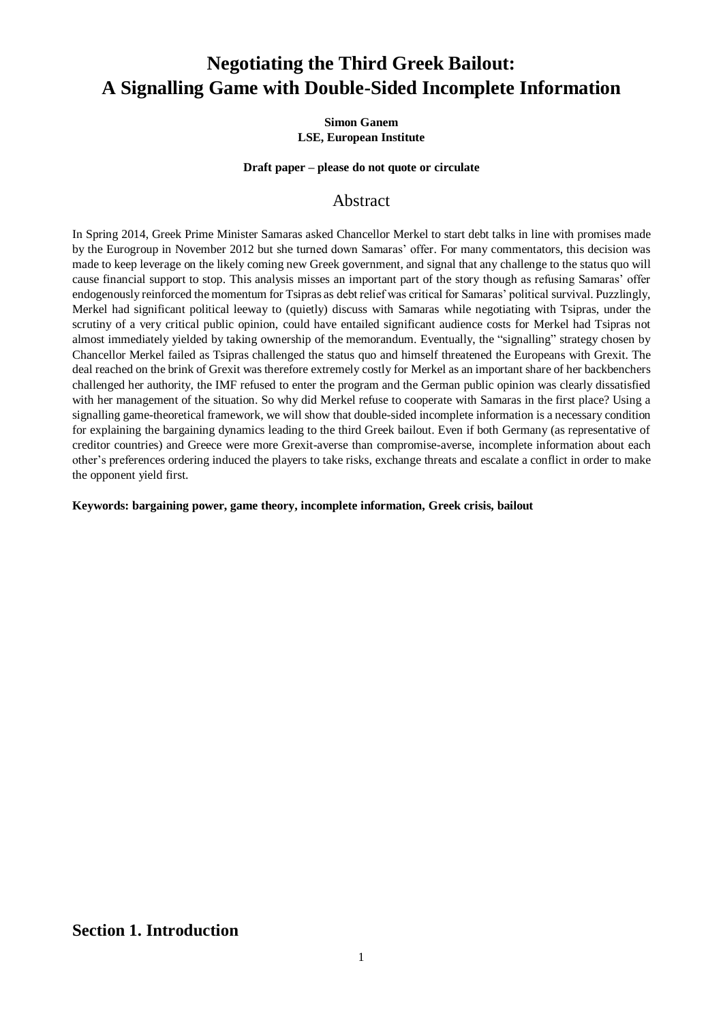# **Negotiating the Third Greek Bailout: A Signalling Game with Double-Sided Incomplete Information**

#### **Simon Ganem LSE, European Institute**

#### **Draft paper – please do not quote or circulate**

## Abstract

In Spring 2014, Greek Prime Minister Samaras asked Chancellor Merkel to start debt talks in line with promises made by the Eurogroup in November 2012 but she turned down Samaras' offer. For many commentators, this decision was made to keep leverage on the likely coming new Greek government, and signal that any challenge to the status quo will cause financial support to stop. This analysis misses an important part of the story though as refusing Samaras' offer endogenously reinforced the momentum for Tsipras as debt relief was critical for Samaras' political survival. Puzzlingly, Merkel had significant political leeway to (quietly) discuss with Samaras while negotiating with Tsipras, under the scrutiny of a very critical public opinion, could have entailed significant audience costs for Merkel had Tsipras not almost immediately yielded by taking ownership of the memorandum. Eventually, the "signalling" strategy chosen by Chancellor Merkel failed as Tsipras challenged the status quo and himself threatened the Europeans with Grexit. The deal reached on the brink of Grexit was therefore extremely costly for Merkel as an important share of her backbenchers challenged her authority, the IMF refused to enter the program and the German public opinion was clearly dissatisfied with her management of the situation. So why did Merkel refuse to cooperate with Samaras in the first place? Using a signalling game-theoretical framework, we will show that double-sided incomplete information is a necessary condition for explaining the bargaining dynamics leading to the third Greek bailout. Even if both Germany (as representative of creditor countries) and Greece were more Grexit-averse than compromise-averse, incomplete information about each other's preferences ordering induced the players to take risks, exchange threats and escalate a conflict in order to make the opponent yield first.

**Keywords: bargaining power, game theory, incomplete information, Greek crisis, bailout**

# **Section 1. Introduction**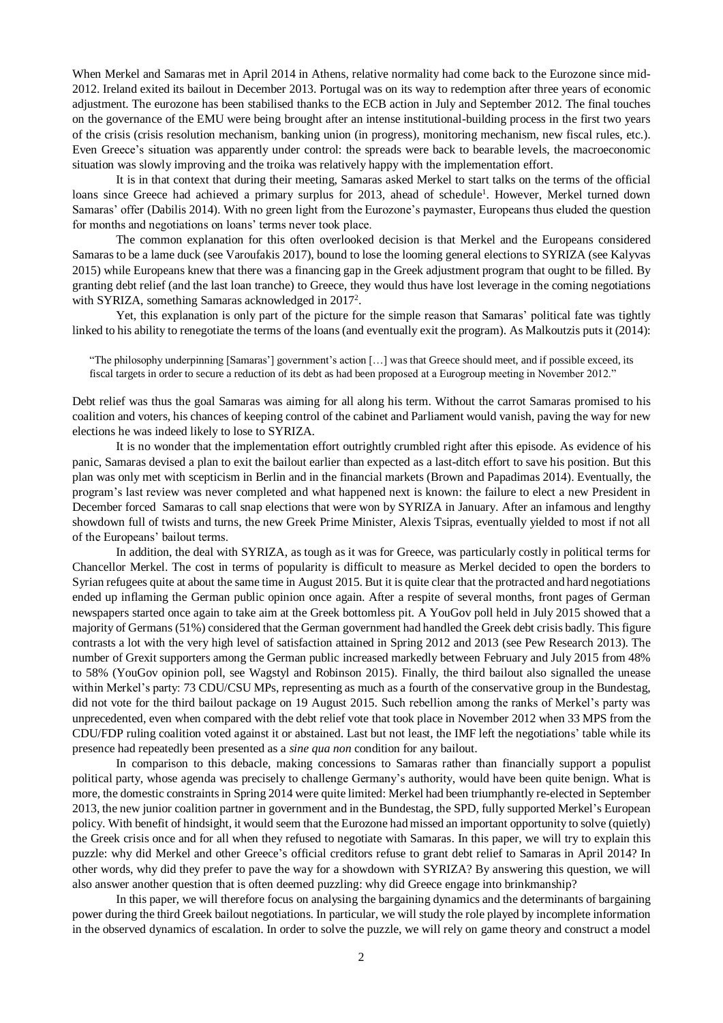When Merkel and Samaras met in April 2014 in Athens, relative normality had come back to the Eurozone since mid-2012. Ireland exited its bailout in December 2013. Portugal was on its way to redemption after three years of economic adjustment. The eurozone has been stabilised thanks to the ECB action in July and September 2012. The final touches on the governance of the EMU were being brought after an intense institutional-building process in the first two years of the crisis (crisis resolution mechanism, banking union (in progress), monitoring mechanism, new fiscal rules, etc.). Even Greece's situation was apparently under control: the spreads were back to bearable levels, the macroeconomic situation was slowly improving and the troika was relatively happy with the implementation effort.

It is in that context that during their meeting, Samaras asked Merkel to start talks on the terms of the official loans since Greece had achieved a primary surplus for 2013, ahead of schedule<sup>1</sup>. However, Merkel turned down Samaras' offer (Dabilis 2014). With no green light from the Eurozone's paymaster, Europeans thus eluded the question for months and negotiations on loans' terms never took place.

The common explanation for this often overlooked decision is that Merkel and the Europeans considered Samaras to be a lame duck (see Varoufakis 2017), bound to lose the looming general elections to SYRIZA (see Kalyvas 2015) while Europeans knew that there was a financing gap in the Greek adjustment program that ought to be filled. By granting debt relief (and the last loan tranche) to Greece, they would thus have lost leverage in the coming negotiations with SYRIZA, something Samaras acknowledged in 2017<sup>2</sup>.

Yet, this explanation is only part of the picture for the simple reason that Samaras' political fate was tightly linked to his ability to renegotiate the terms of the loans (and eventually exit the program). As Malkoutzis puts it (2014):

"The philosophy underpinning [Samaras'] government's action […] was that Greece should meet, and if possible exceed, its fiscal targets in order to secure a reduction of its debt as had been proposed at a Eurogroup meeting in November 2012."

Debt relief was thus the goal Samaras was aiming for all along his term. Without the carrot Samaras promised to his coalition and voters, his chances of keeping control of the cabinet and Parliament would vanish, paving the way for new elections he was indeed likely to lose to SYRIZA.

It is no wonder that the implementation effort outrightly crumbled right after this episode. As evidence of his panic, Samaras devised a plan to exit the bailout earlier than expected as a last-ditch effort to save his position. But this plan was only met with scepticism in Berlin and in the financial markets (Brown and Papadimas 2014). Eventually, the program's last review was never completed and what happened next is known: the failure to elect a new President in December forced Samaras to call snap elections that were won by SYRIZA in January. After an infamous and lengthy showdown full of twists and turns, the new Greek Prime Minister, Alexis Tsipras, eventually yielded to most if not all of the Europeans' bailout terms.

In addition, the deal with SYRIZA, as tough as it was for Greece, was particularly costly in political terms for Chancellor Merkel. The cost in terms of popularity is difficult to measure as Merkel decided to open the borders to Syrian refugees quite at about the same time in August 2015. But it is quite clear that the protracted and hard negotiations ended up inflaming the German public opinion once again. After a respite of several months, front pages of German newspapers started once again to take aim at the Greek bottomless pit. A YouGov poll held in July 2015 showed that a majority of Germans (51%) considered that the German government had handled the Greek debt crisis badly. This figure contrasts a lot with the very high level of satisfaction attained in Spring 2012 and 2013 (see Pew Research 2013). The number of Grexit supporters among the German public increased markedly between February and July 2015 from 48% to 58% (YouGov opinion poll, see Wagstyl and Robinson 2015). Finally, the third bailout also signalled the unease within Merkel's party: 73 CDU/CSU MPs, representing as much as a fourth of the conservative group in the Bundestag, did not vote for the third bailout package on 19 August 2015. Such rebellion among the ranks of Merkel's party was unprecedented, even when compared with the debt relief vote that took place in November 2012 when 33 MPS from the CDU/FDP ruling coalition voted against it or abstained. Last but not least, the IMF left the negotiations' table while its presence had repeatedly been presented as a *sine qua non* condition for any bailout.

In comparison to this debacle, making concessions to Samaras rather than financially support a populist political party, whose agenda was precisely to challenge Germany's authority, would have been quite benign. What is more, the domestic constraints in Spring 2014 were quite limited: Merkel had been triumphantly re-elected in September 2013, the new junior coalition partner in government and in the Bundestag, the SPD, fully supported Merkel's European policy. With benefit of hindsight, it would seem that the Eurozone had missed an important opportunity to solve (quietly) the Greek crisis once and for all when they refused to negotiate with Samaras. In this paper, we will try to explain this puzzle: why did Merkel and other Greece's official creditors refuse to grant debt relief to Samaras in April 2014? In other words, why did they prefer to pave the way for a showdown with SYRIZA? By answering this question, we will also answer another question that is often deemed puzzling: why did Greece engage into brinkmanship?

In this paper, we will therefore focus on analysing the bargaining dynamics and the determinants of bargaining power during the third Greek bailout negotiations. In particular, we will study the role played by incomplete information in the observed dynamics of escalation. In order to solve the puzzle, we will rely on game theory and construct a model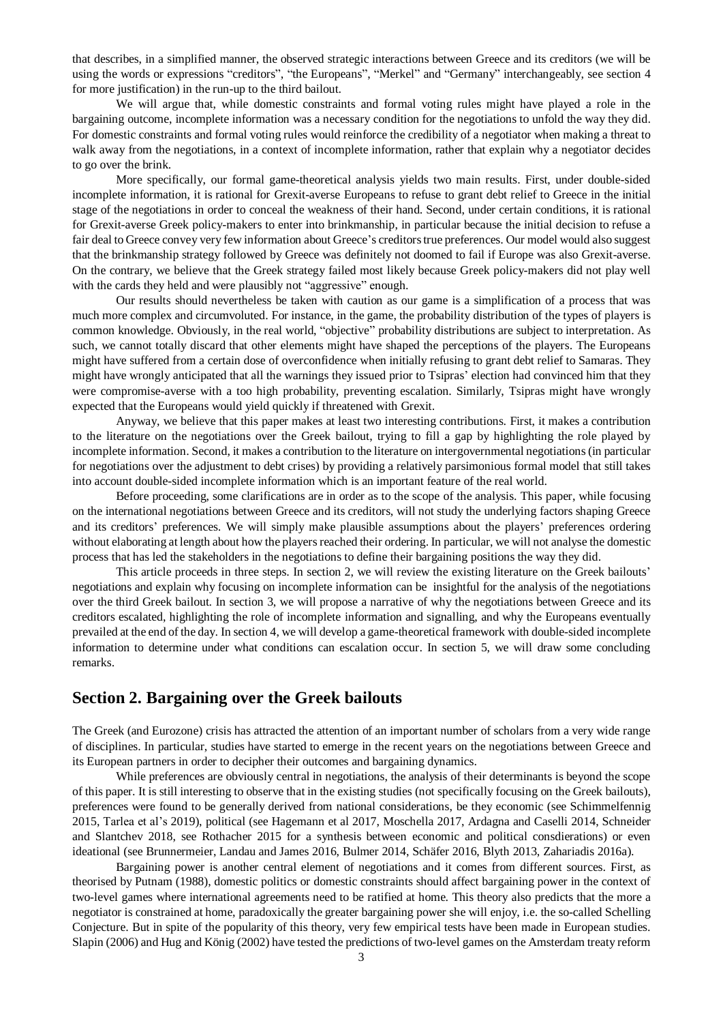that describes, in a simplified manner, the observed strategic interactions between Greece and its creditors (we will be using the words or expressions "creditors", "the Europeans", "Merkel" and "Germany" interchangeably, see section 4 for more justification) in the run-up to the third bailout.

We will argue that, while domestic constraints and formal voting rules might have played a role in the bargaining outcome, incomplete information was a necessary condition for the negotiations to unfold the way they did. For domestic constraints and formal voting rules would reinforce the credibility of a negotiator when making a threat to walk away from the negotiations, in a context of incomplete information, rather that explain why a negotiator decides to go over the brink.

More specifically, our formal game-theoretical analysis yields two main results. First, under double-sided incomplete information, it is rational for Grexit-averse Europeans to refuse to grant debt relief to Greece in the initial stage of the negotiations in order to conceal the weakness of their hand. Second, under certain conditions, it is rational for Grexit-averse Greek policy-makers to enter into brinkmanship, in particular because the initial decision to refuse a fair deal to Greece convey very few information about Greece's creditors true preferences. Our model would also suggest that the brinkmanship strategy followed by Greece was definitely not doomed to fail if Europe was also Grexit-averse. On the contrary, we believe that the Greek strategy failed most likely because Greek policy-makers did not play well with the cards they held and were plausibly not "aggressive" enough.

Our results should nevertheless be taken with caution as our game is a simplification of a process that was much more complex and circumvoluted. For instance, in the game, the probability distribution of the types of players is common knowledge. Obviously, in the real world, "objective" probability distributions are subject to interpretation. As such, we cannot totally discard that other elements might have shaped the perceptions of the players. The Europeans might have suffered from a certain dose of overconfidence when initially refusing to grant debt relief to Samaras. They might have wrongly anticipated that all the warnings they issued prior to Tsipras' election had convinced him that they were compromise-averse with a too high probability, preventing escalation. Similarly, Tsipras might have wrongly expected that the Europeans would yield quickly if threatened with Grexit.

Anyway, we believe that this paper makes at least two interesting contributions. First, it makes a contribution to the literature on the negotiations over the Greek bailout, trying to fill a gap by highlighting the role played by incomplete information. Second, it makes a contribution to the literature on intergovernmental negotiations (in particular for negotiations over the adjustment to debt crises) by providing a relatively parsimonious formal model that still takes into account double-sided incomplete information which is an important feature of the real world.

Before proceeding, some clarifications are in order as to the scope of the analysis. This paper, while focusing on the international negotiations between Greece and its creditors, will not study the underlying factors shaping Greece and its creditors' preferences. We will simply make plausible assumptions about the players' preferences ordering without elaborating at length about how the players reached their ordering. In particular, we will not analyse the domestic process that has led the stakeholders in the negotiations to define their bargaining positions the way they did.

This article proceeds in three steps. In section 2, we will review the existing literature on the Greek bailouts' negotiations and explain why focusing on incomplete information can be insightful for the analysis of the negotiations over the third Greek bailout. In section 3, we will propose a narrative of why the negotiations between Greece and its creditors escalated, highlighting the role of incomplete information and signalling, and why the Europeans eventually prevailed at the end of the day. In section 4, we will develop a game-theoretical framework with double-sided incomplete information to determine under what conditions can escalation occur. In section 5, we will draw some concluding remarks.

## **Section 2. Bargaining over the Greek bailouts**

The Greek (and Eurozone) crisis has attracted the attention of an important number of scholars from a very wide range of disciplines. In particular, studies have started to emerge in the recent years on the negotiations between Greece and its European partners in order to decipher their outcomes and bargaining dynamics.

While preferences are obviously central in negotiations, the analysis of their determinants is beyond the scope of this paper. It is still interesting to observe that in the existing studies (not specifically focusing on the Greek bailouts), preferences were found to be generally derived from national considerations, be they economic (see Schimmelfennig 2015, Tarlea et al's 2019), political (see Hagemann et al 2017, Moschella 2017, Ardagna and Caselli 2014, Schneider and Slantchev 2018, see Rothacher 2015 for a synthesis between economic and political consdierations) or even ideational (see Brunnermeier, Landau and James 2016, Bulmer 2014, Schäfer 2016, Blyth 2013, Zahariadis 2016a).

Bargaining power is another central element of negotiations and it comes from different sources. First, as theorised by Putnam (1988), domestic politics or domestic constraints should affect bargaining power in the context of two-level games where international agreements need to be ratified at home. This theory also predicts that the more a negotiator is constrained at home, paradoxically the greater bargaining power she will enjoy, i.e. the so-called Schelling Conjecture. But in spite of the popularity of this theory, very few empirical tests have been made in European studies. Slapin (2006) and Hug and König (2002) have tested the predictions of two-level games on the Amsterdam treaty reform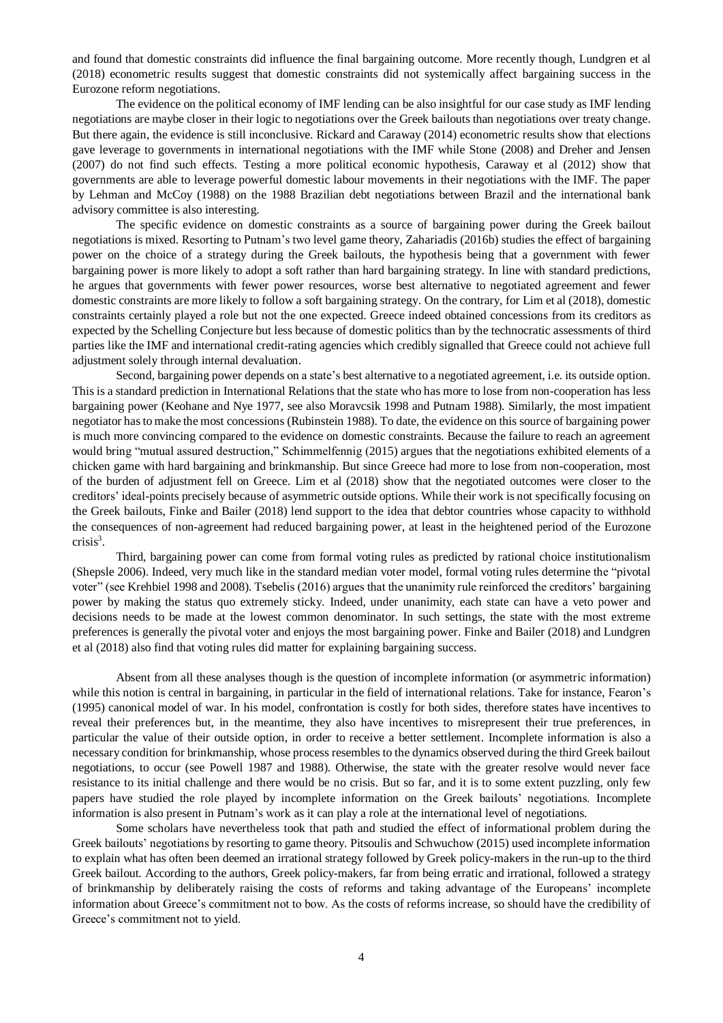and found that domestic constraints did influence the final bargaining outcome. More recently though, Lundgren et al (2018) econometric results suggest that domestic constraints did not systemically affect bargaining success in the Eurozone reform negotiations.

The evidence on the political economy of IMF lending can be also insightful for our case study as IMF lending negotiations are maybe closer in their logic to negotiations over the Greek bailouts than negotiations over treaty change. But there again, the evidence is still inconclusive. Rickard and Caraway (2014) econometric results show that elections gave leverage to governments in international negotiations with the IMF while Stone (2008) and Dreher and Jensen (2007) do not find such effects. Testing a more political economic hypothesis, Caraway et al (2012) show that governments are able to leverage powerful domestic labour movements in their negotiations with the IMF. The paper by Lehman and McCoy (1988) on the 1988 Brazilian debt negotiations between Brazil and the international bank advisory committee is also interesting.

The specific evidence on domestic constraints as a source of bargaining power during the Greek bailout negotiations is mixed. Resorting to Putnam's two level game theory, Zahariadis (2016b) studies the effect of bargaining power on the choice of a strategy during the Greek bailouts, the hypothesis being that a government with fewer bargaining power is more likely to adopt a soft rather than hard bargaining strategy. In line with standard predictions, he argues that governments with fewer power resources, worse best alternative to negotiated agreement and fewer domestic constraints are more likely to follow a soft bargaining strategy. On the contrary, for Lim et al (2018), domestic constraints certainly played a role but not the one expected. Greece indeed obtained concessions from its creditors as expected by the Schelling Conjecture but less because of domestic politics than by the technocratic assessments of third parties like the IMF and international credit-rating agencies which credibly signalled that Greece could not achieve full adjustment solely through internal devaluation.

Second, bargaining power depends on a state's best alternative to a negotiated agreement, i.e. its outside option. This is a standard prediction in International Relations that the state who has more to lose from non-cooperation has less bargaining power (Keohane and Nye 1977, see also Moravcsik 1998 and Putnam 1988). Similarly, the most impatient negotiator has to make the most concessions (Rubinstein 1988). To date, the evidence on this source of bargaining power is much more convincing compared to the evidence on domestic constraints. Because the failure to reach an agreement would bring "mutual assured destruction," Schimmelfennig (2015) argues that the negotiations exhibited elements of a chicken game with hard bargaining and brinkmanship. But since Greece had more to lose from non-cooperation, most of the burden of adjustment fell on Greece. Lim et al (2018) show that the negotiated outcomes were closer to the creditors' ideal-points precisely because of asymmetric outside options. While their work is not specifically focusing on the Greek bailouts, Finke and Bailer (2018) lend support to the idea that debtor countries whose capacity to withhold the consequences of non-agreement had reduced bargaining power, at least in the heightened period of the Eurozone crisis<sup>3</sup>.

Third, bargaining power can come from formal voting rules as predicted by rational choice institutionalism (Shepsle 2006). Indeed, very much like in the standard median voter model, formal voting rules determine the "pivotal voter" (see Krehbiel 1998 and 2008). Tsebelis (2016) argues that the unanimity rule reinforced the creditors' bargaining power by making the status quo extremely sticky. Indeed, under unanimity, each state can have a veto power and decisions needs to be made at the lowest common denominator. In such settings, the state with the most extreme preferences is generally the pivotal voter and enjoys the most bargaining power. Finke and Bailer (2018) and Lundgren et al (2018) also find that voting rules did matter for explaining bargaining success.

Absent from all these analyses though is the question of incomplete information (or asymmetric information) while this notion is central in bargaining, in particular in the field of international relations. Take for instance, Fearon's (1995) canonical model of war. In his model, confrontation is costly for both sides, therefore states have incentives to reveal their preferences but, in the meantime, they also have incentives to misrepresent their true preferences, in particular the value of their outside option, in order to receive a better settlement. Incomplete information is also a necessary condition for brinkmanship, whose process resembles to the dynamics observed during the third Greek bailout negotiations, to occur (see Powell 1987 and 1988). Otherwise, the state with the greater resolve would never face resistance to its initial challenge and there would be no crisis. But so far, and it is to some extent puzzling, only few papers have studied the role played by incomplete information on the Greek bailouts' negotiations. Incomplete information is also present in Putnam's work as it can play a role at the international level of negotiations.

Some scholars have nevertheless took that path and studied the effect of informational problem during the Greek bailouts' negotiations by resorting to game theory. Pitsoulis and Schwuchow (2015) used incomplete information to explain what has often been deemed an irrational strategy followed by Greek policy-makers in the run-up to the third Greek bailout. According to the authors, Greek policy-makers, far from being erratic and irrational, followed a strategy of brinkmanship by deliberately raising the costs of reforms and taking advantage of the Europeans' incomplete information about Greece's commitment not to bow. As the costs of reforms increase, so should have the credibility of Greece's commitment not to yield.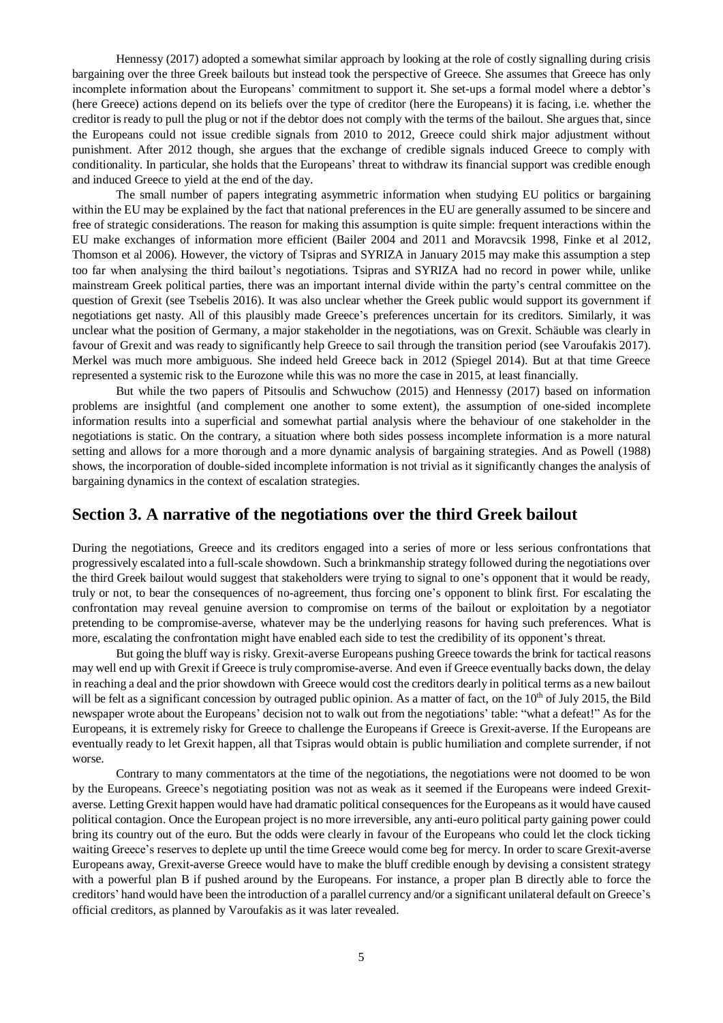Hennessy (2017) adopted a somewhat similar approach by looking at the role of costly signalling during crisis bargaining over the three Greek bailouts but instead took the perspective of Greece. She assumes that Greece has only incomplete information about the Europeans' commitment to support it. She set-ups a formal model where a debtor's (here Greece) actions depend on its beliefs over the type of creditor (here the Europeans) it is facing, i.e. whether the creditor is ready to pull the plug or not if the debtor does not comply with the terms of the bailout. She argues that, since the Europeans could not issue credible signals from 2010 to 2012, Greece could shirk major adjustment without punishment. After 2012 though, she argues that the exchange of credible signals induced Greece to comply with conditionality. In particular, she holds that the Europeans' threat to withdraw its financial support was credible enough and induced Greece to yield at the end of the day.

The small number of papers integrating asymmetric information when studying EU politics or bargaining within the EU may be explained by the fact that national preferences in the EU are generally assumed to be sincere and free of strategic considerations. The reason for making this assumption is quite simple: frequent interactions within the EU make exchanges of information more efficient (Bailer 2004 and 2011 and Moravcsik 1998, Finke et al 2012, Thomson et al 2006). However, the victory of Tsipras and SYRIZA in January 2015 may make this assumption a step too far when analysing the third bailout's negotiations. Tsipras and SYRIZA had no record in power while, unlike mainstream Greek political parties, there was an important internal divide within the party's central committee on the question of Grexit (see Tsebelis 2016). It was also unclear whether the Greek public would support its government if negotiations get nasty. All of this plausibly made Greece's preferences uncertain for its creditors. Similarly, it was unclear what the position of Germany, a major stakeholder in the negotiations, was on Grexit. Schäuble was clearly in favour of Grexit and was ready to significantly help Greece to sail through the transition period (see Varoufakis 2017). Merkel was much more ambiguous. She indeed held Greece back in 2012 (Spiegel 2014). But at that time Greece represented a systemic risk to the Eurozone while this was no more the case in 2015, at least financially.

But while the two papers of Pitsoulis and Schwuchow (2015) and Hennessy (2017) based on information problems are insightful (and complement one another to some extent), the assumption of one-sided incomplete information results into a superficial and somewhat partial analysis where the behaviour of one stakeholder in the negotiations is static. On the contrary, a situation where both sides possess incomplete information is a more natural setting and allows for a more thorough and a more dynamic analysis of bargaining strategies. And as Powell (1988) shows, the incorporation of double-sided incomplete information is not trivial as it significantly changes the analysis of bargaining dynamics in the context of escalation strategies.

### **Section 3. A narrative of the negotiations over the third Greek bailout**

During the negotiations, Greece and its creditors engaged into a series of more or less serious confrontations that progressively escalated into a full-scale showdown. Such a brinkmanship strategy followed during the negotiations over the third Greek bailout would suggest that stakeholders were trying to signal to one's opponent that it would be ready, truly or not, to bear the consequences of no-agreement, thus forcing one's opponent to blink first. For escalating the confrontation may reveal genuine aversion to compromise on terms of the bailout or exploitation by a negotiator pretending to be compromise-averse, whatever may be the underlying reasons for having such preferences. What is more, escalating the confrontation might have enabled each side to test the credibility of its opponent's threat.

But going the bluff way is risky. Grexit-averse Europeans pushing Greece towards the brink for tactical reasons may well end up with Grexit if Greece is truly compromise-averse. And even if Greece eventually backs down, the delay in reaching a deal and the prior showdown with Greece would cost the creditors dearly in political terms as a new bailout will be felt as a significant concession by outraged public opinion. As a matter of fact, on the 10<sup>th</sup> of July 2015, the Bild newspaper wrote about the Europeans' decision not to walk out from the negotiations' table: "what a defeat!" As for the Europeans, it is extremely risky for Greece to challenge the Europeans if Greece is Grexit-averse. If the Europeans are eventually ready to let Grexit happen, all that Tsipras would obtain is public humiliation and complete surrender, if not worse.

Contrary to many commentators at the time of the negotiations, the negotiations were not doomed to be won by the Europeans. Greece's negotiating position was not as weak as it seemed if the Europeans were indeed Grexitaverse. Letting Grexit happen would have had dramatic political consequences for the Europeans as it would have caused political contagion. Once the European project is no more irreversible, any anti-euro political party gaining power could bring its country out of the euro. But the odds were clearly in favour of the Europeans who could let the clock ticking waiting Greece's reserves to deplete up until the time Greece would come beg for mercy. In order to scare Grexit-averse Europeans away, Grexit-averse Greece would have to make the bluff credible enough by devising a consistent strategy with a powerful plan B if pushed around by the Europeans. For instance, a proper plan B directly able to force the creditors' hand would have been the introduction of a parallel currency and/or a significant unilateral default on Greece's official creditors, as planned by Varoufakis as it was later revealed.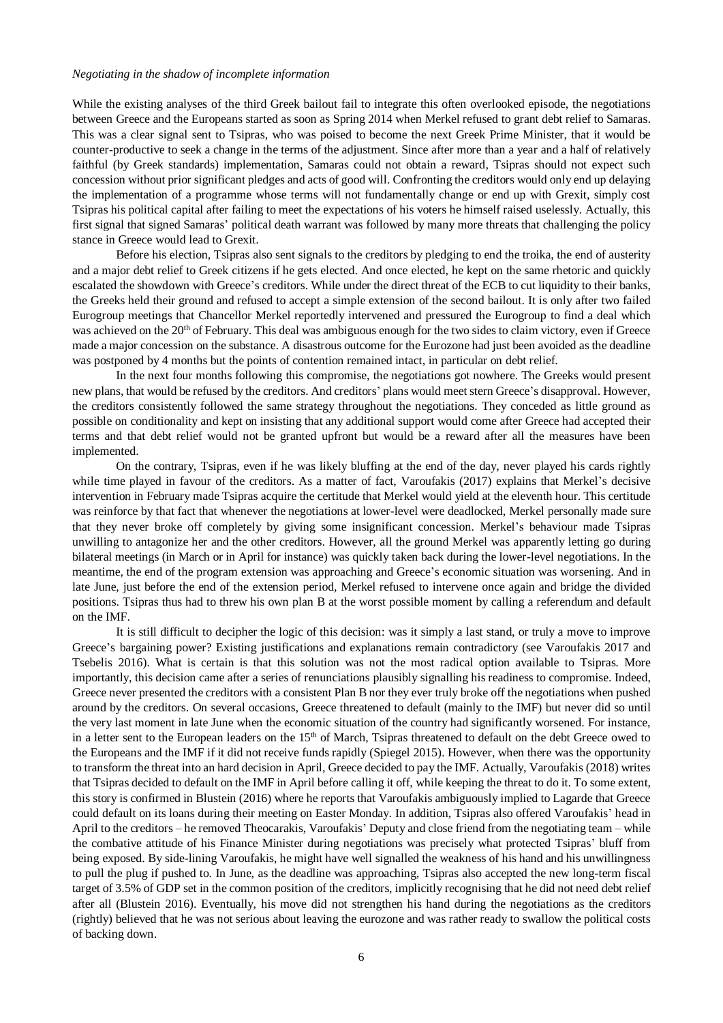#### *Negotiating in the shadow of incomplete information*

While the existing analyses of the third Greek bailout fail to integrate this often overlooked episode, the negotiations between Greece and the Europeans started as soon as Spring 2014 when Merkel refused to grant debt relief to Samaras. This was a clear signal sent to Tsipras, who was poised to become the next Greek Prime Minister, that it would be counter-productive to seek a change in the terms of the adjustment. Since after more than a year and a half of relatively faithful (by Greek standards) implementation, Samaras could not obtain a reward, Tsipras should not expect such concession without prior significant pledges and acts of good will. Confronting the creditors would only end up delaying the implementation of a programme whose terms will not fundamentally change or end up with Grexit, simply cost Tsipras his political capital after failing to meet the expectations of his voters he himself raised uselessly. Actually, this first signal that signed Samaras' political death warrant was followed by many more threats that challenging the policy stance in Greece would lead to Grexit.

Before his election, Tsipras also sent signals to the creditors by pledging to end the troika, the end of austerity and a major debt relief to Greek citizens if he gets elected. And once elected, he kept on the same rhetoric and quickly escalated the showdown with Greece's creditors. While under the direct threat of the ECB to cut liquidity to their banks, the Greeks held their ground and refused to accept a simple extension of the second bailout. It is only after two failed Eurogroup meetings that Chancellor Merkel reportedly intervened and pressured the Eurogroup to find a deal which was achieved on the 20<sup>th</sup> of February. This deal was ambiguous enough for the two sides to claim victory, even if Greece made a major concession on the substance. A disastrous outcome for the Eurozone had just been avoided as the deadline was postponed by 4 months but the points of contention remained intact, in particular on debt relief.

In the next four months following this compromise, the negotiations got nowhere. The Greeks would present new plans, that would be refused by the creditors. And creditors' plans would meet stern Greece's disapproval. However, the creditors consistently followed the same strategy throughout the negotiations. They conceded as little ground as possible on conditionality and kept on insisting that any additional support would come after Greece had accepted their terms and that debt relief would not be granted upfront but would be a reward after all the measures have been implemented.

On the contrary, Tsipras, even if he was likely bluffing at the end of the day, never played his cards rightly while time played in favour of the creditors. As a matter of fact, Varoufakis (2017) explains that Merkel's decisive intervention in February made Tsipras acquire the certitude that Merkel would yield at the eleventh hour. This certitude was reinforce by that fact that whenever the negotiations at lower-level were deadlocked, Merkel personally made sure that they never broke off completely by giving some insignificant concession. Merkel's behaviour made Tsipras unwilling to antagonize her and the other creditors. However, all the ground Merkel was apparently letting go during bilateral meetings (in March or in April for instance) was quickly taken back during the lower-level negotiations. In the meantime, the end of the program extension was approaching and Greece's economic situation was worsening. And in late June, just before the end of the extension period, Merkel refused to intervene once again and bridge the divided positions. Tsipras thus had to threw his own plan B at the worst possible moment by calling a referendum and default on the IMF.

It is still difficult to decipher the logic of this decision: was it simply a last stand, or truly a move to improve Greece's bargaining power? Existing justifications and explanations remain contradictory (see Varoufakis 2017 and Tsebelis 2016). What is certain is that this solution was not the most radical option available to Tsipras. More importantly, this decision came after a series of renunciations plausibly signalling his readiness to compromise. Indeed, Greece never presented the creditors with a consistent Plan Bnor they ever truly broke off the negotiations when pushed around by the creditors. On several occasions, Greece threatened to default (mainly to the IMF) but never did so until the very last moment in late June when the economic situation of the country had significantly worsened. For instance, in a letter sent to the European leaders on the 15<sup>th</sup> of March, Tsipras threatened to default on the debt Greece owed to the Europeans and the IMF if it did not receive funds rapidly (Spiegel 2015). However, when there was the opportunity to transform the threat into an hard decision in April, Greece decided to pay the IMF. Actually, Varoufakis (2018) writes that Tsipras decided to default on the IMF in April before calling it off, while keeping the threat to do it. To some extent, this story is confirmed in Blustein (2016) where he reports that Varoufakis ambiguously implied to Lagarde that Greece could default on its loans during their meeting on Easter Monday. In addition, Tsipras also offered Varoufakis' head in April to the creditors – he removed Theocarakis, Varoufakis' Deputy and close friend from the negotiating team – while the combative attitude of his Finance Minister during negotiations was precisely what protected Tsipras' bluff from being exposed. By side-lining Varoufakis, he might have well signalled the weakness of his hand and his unwillingness to pull the plug if pushed to. In June, as the deadline was approaching, Tsipras also accepted the new long-term fiscal target of 3.5% of GDP set in the common position of the creditors, implicitly recognising that he did not need debt relief after all (Blustein 2016). Eventually, his move did not strengthen his hand during the negotiations as the creditors (rightly) believed that he was not serious about leaving the eurozone and was rather ready to swallow the political costs of backing down.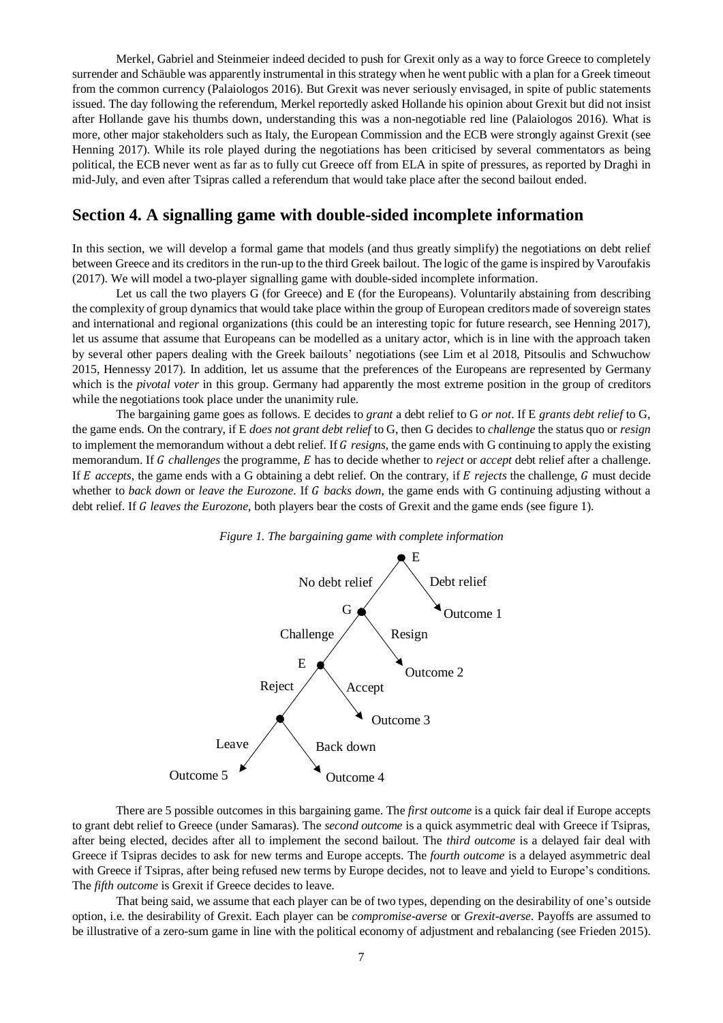Merkel, Gabriel and Steinmeier indeed decided to push for Grexit only as a way to force Greece to completely surrender and Schäuble was apparently instrumental in this strategy when he went public with a plan for a Greek timeout from the common currency (Palaiologos 2016). But Grexit was never seriously envisaged, in spite of public statements issued. The day following the referendum, Merkel reportedly asked Hollande his opinion about Grexit but did not insist after Hollande gave his thumbs down, understanding this was a non-negotiable red line (Palaiologos 2016). What is more, other major stakeholders such as Italy, the European Commission and the ECB were strongly against Grexit (see Henning 2017). While its role played during the negotiations has been criticised by several commentators as being political, the ECB never went as far as to fully cut Greece off from ELA in spite of pressures, as reported by Draghi in mid-July, and even after Tsipras called a referendum that would take place after the second bailout ended.

## **Section 4. A signalling game with double-sided incomplete information**

In this section, we will develop a formal game that models (and thus greatly simplify) the negotiations on debt relief between Greece and its creditors in the run-up to the third Greek bailout. The logic of the game is inspired by Varoufakis (2017). We will model a two-player signalling game with double-sided incomplete information.

Let us call the two players G (for Greece) and E (for the Europeans). Voluntarily abstaining from describing the complexity of group dynamics that would take place within the group of European creditors made of sovereign states and international and regional organizations (this could be an interesting topic for future research, see Henning 2017), let us assume that assume that Europeans can be modelled as a unitary actor, which is in line with the approach taken by several other papers dealing with the Greek bailouts' negotiations (see Lim et al 2018, Pitsoulis and Schwuchow 2015, Hennessy 2017). In addition, let us assume that the preferences of the Europeans are represented by Germany which is the *pivotal voter* in this group. Germany had apparently the most extreme position in the group of creditors while the negotiations took place under the unanimity rule.

The bargaining game goes as follows. E decides to *grant* a debt relief to G *or not*. If E *grants debt relief* to G, the game ends. On the contrary, if E *does not grant debt relief* to G, then G decides to *challenge* the status quo or *resign* to implement the memorandum without a debt relief. If *resigns*, the game ends with G continuing to apply the existing memorandum. If G challenges the programme, E has to decide whether to *reject* or *accept* debt relief after a challenge. If *E* accepts, the game ends with a G obtaining a debt relief. On the contrary, if *E rejects* the challenge, *G* must decide whether to *back down* or *leave the Eurozone*. If G *backs down*, the game ends with G continuing adjusting without a debt relief. If *leaves the Eurozone*, both players bear the costs of Grexit and the game ends (see figure 1).



#### *Figure 1. The bargaining game with complete information*

There are 5 possible outcomes in this bargaining game. The *first outcome* is a quick fair deal if Europe accepts to grant debt relief to Greece (under Samaras). The *second outcome* is a quick asymmetric deal with Greece if Tsipras, after being elected, decides after all to implement the second bailout. The *third outcome* is a delayed fair deal with Greece if Tsipras decides to ask for new terms and Europe accepts. The *fourth outcome* is a delayed asymmetric deal with Greece if Tsipras, after being refused new terms by Europe decides, not to leave and yield to Europe's conditions. The *fifth outcome* is Grexit if Greece decides to leave.

That being said, we assume that each player can be of two types, depending on the desirability of one's outside option, i.e. the desirability of Grexit. Each player can be *compromise-averse* or *Grexit-averse*. Payoffs are assumed to be illustrative of a zero-sum game in line with the political economy of adjustment and rebalancing (see Frieden 2015).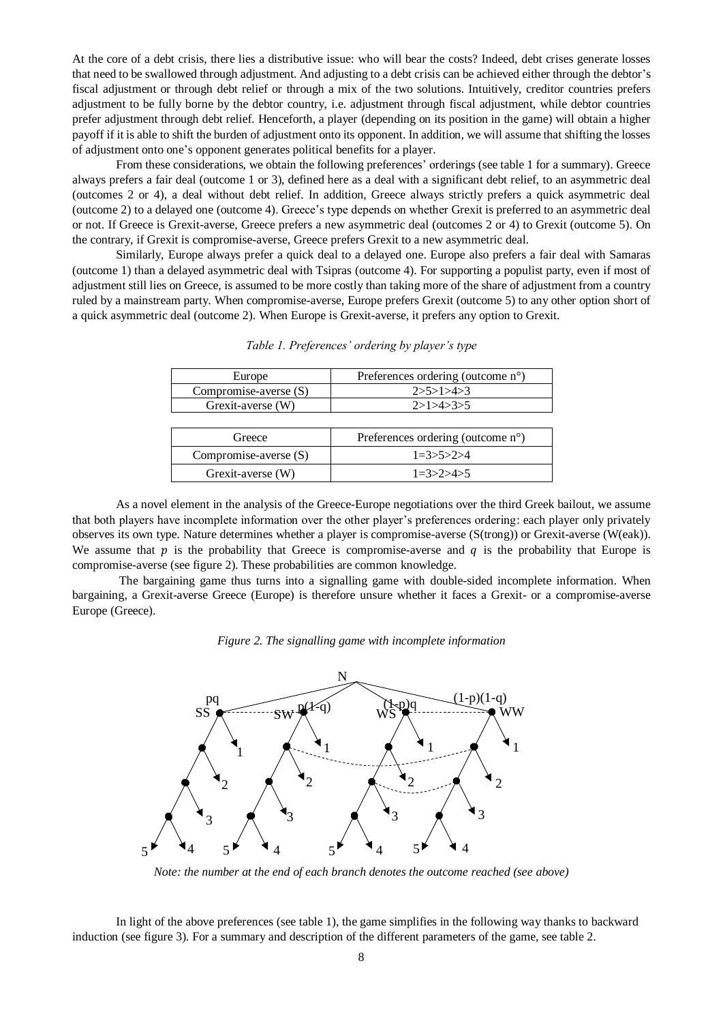At the core of a debt crisis, there lies a distributive issue: who will bear the costs? Indeed, debt crises generate losses that need to be swallowed through adjustment. And adjusting to a debt crisis can be achieved either through the debtor's fiscal adjustment or through debt relief or through a mix of the two solutions. Intuitively, creditor countries prefers adjustment to be fully borne by the debtor country, i.e. adjustment through fiscal adjustment, while debtor countries prefer adjustment through debt relief. Henceforth, a player (depending on its position in the game) will obtain a higher payoff if it is able to shift the burden of adjustment onto its opponent. In addition, we will assume that shifting the losses of adjustment onto one's opponent generates political benefits for a player.

From these considerations, we obtain the following preferences' orderings (see table 1 for a summary). Greece always prefers a fair deal (outcome 1 or 3), defined here as a deal with a significant debt relief, to an asymmetric deal (outcomes 2 or 4), a deal without debt relief. In addition, Greece always strictly prefers a quick asymmetric deal (outcome 2) to a delayed one (outcome 4). Greece's type depends on whether Grexit is preferred to an asymmetric deal or not. If Greece is Grexit-averse, Greece prefers a new asymmetric deal (outcomes 2 or 4) to Grexit (outcome 5). On the contrary, if Grexit is compromise-averse, Greece prefers Grexit to a new asymmetric deal.

Similarly, Europe always prefer a quick deal to a delayed one. Europe also prefers a fair deal with Samaras (outcome 1) than a delayed asymmetric deal with Tsipras (outcome 4). For supporting a populist party, even if most of adjustment still lies on Greece, is assumed to be more costly than taking more of the share of adjustment from a country ruled by a mainstream party. When compromise-averse, Europe prefers Grexit (outcome 5) to any other option short of a quick asymmetric deal (outcome 2). When Europe is Grexit-averse, it prefers any option to Grexit.

| Europe                | Preferences ordering (outcome n°) |
|-----------------------|-----------------------------------|
| Compromise-averse (S) | 2>5>1>4>3                         |
| Grexit-averse (W)     | 2>1>4>3>5                         |
|                       |                                   |
| Greece                | Preferences ordering (outcome n°) |
| Compromise-averse (S) | $1=3>5>2>4$                       |

Grexit-averse (W)  $1=3>2>4>5$ 

*Table 1. Preferences' ordering by player's type*

As a novel element in the analysis of the Greece-Europe negotiations over the third Greek bailout, we assume that both players have incomplete information over the other player's preferences ordering: each player only privately observes its own type. Nature determines whether a player is compromise-averse (S(trong)) or Grexit-averse (W(eak)). We assume that  $p$  is the probability that Greece is compromise-averse and  $q$  is the probability that Europe is compromise-averse (see figure 2). These probabilities are common knowledge.

The bargaining game thus turns into a signalling game with double-sided incomplete information. When bargaining, a Grexit-averse Greece (Europe) is therefore unsure whether it faces a Grexit- or a compromise-averse Europe (Greece).





*Note: the number at the end of each branch denotes the outcome reached (see above)*

In light of the above preferences (see table 1), the game simplifies in the following way thanks to backward induction (see figure 3). For a summary and description of the different parameters of the game, see table 2.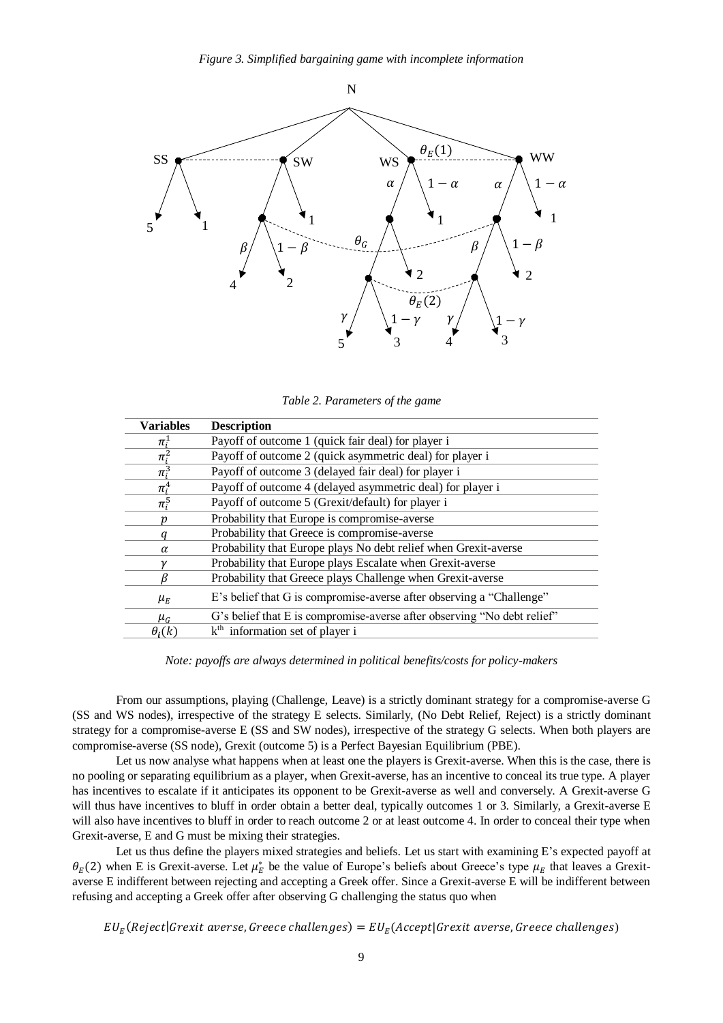

*Table 2. Parameters of the game*

| <b>Variables</b> | <b>Description</b>                                                      |
|------------------|-------------------------------------------------------------------------|
| $\pi_i^{\perp}$  | Payoff of outcome 1 (quick fair deal) for player i                      |
| $\pi_i^2$        | Payoff of outcome 2 (quick asymmetric deal) for player i                |
| $\pi_i^3$        | Payoff of outcome 3 (delayed fair deal) for player i                    |
| $\pi_i^4$        | Payoff of outcome 4 (delayed asymmetric deal) for player i              |
| $\pi_i^5$        | Payoff of outcome 5 (Grexit/default) for player i                       |
| ŋ                | Probability that Europe is compromise-averse                            |
|                  | Probability that Greece is compromise-averse                            |
| α                | Probability that Europe plays No debt relief when Grexit-averse         |
|                  | Probability that Europe plays Escalate when Grexit-averse               |
|                  | Probability that Greece plays Challenge when Grexit-averse              |
| $\mu_E$          | E's belief that G is compromise-averse after observing a "Challenge"    |
| $\mu_G$          | G's belief that E is compromise-averse after observing "No debt relief" |
| $\theta_i(k)$    | k <sup>th</sup> information set of player i                             |

*Note: payoffs are always determined in political benefits/costs for policy-makers*

From our assumptions, playing (Challenge, Leave) is a strictly dominant strategy for a compromise-averse G (SS and WS nodes), irrespective of the strategy E selects. Similarly, (No Debt Relief, Reject) is a strictly dominant strategy for a compromise-averse E (SS and SW nodes), irrespective of the strategy G selects. When both players are compromise-averse (SS node), Grexit (outcome 5) is a Perfect Bayesian Equilibrium (PBE).

Let us now analyse what happens when at least one the players is Grexit-averse. When this is the case, there is no pooling or separating equilibrium as a player, when Grexit-averse, has an incentive to conceal its true type. A player has incentives to escalate if it anticipates its opponent to be Grexit-averse as well and conversely. A Grexit-averse G will thus have incentives to bluff in order obtain a better deal, typically outcomes 1 or 3. Similarly, a Grexit-averse E will also have incentives to bluff in order to reach outcome 2 or at least outcome 4. In order to conceal their type when Grexit-averse, E and G must be mixing their strategies.

Let us thus define the players mixed strategies and beliefs. Let us start with examining E's expected payoff at  $\theta_E(2)$  when E is Grexit-averse. Let  $\mu_E^*$  be the value of Europe's beliefs about Greece's type  $\mu_E$  that leaves a Grexitaverse E indifferent between rejecting and accepting a Greek offer. Since a Grexit-averse E will be indifferent between refusing and accepting a Greek offer after observing G challenging the status quo when

EU $_{E}$ (Reject|Grexit averse, Greece challenges) = EU $_{E}$ (Accept|Grexit averse, Greece challenges)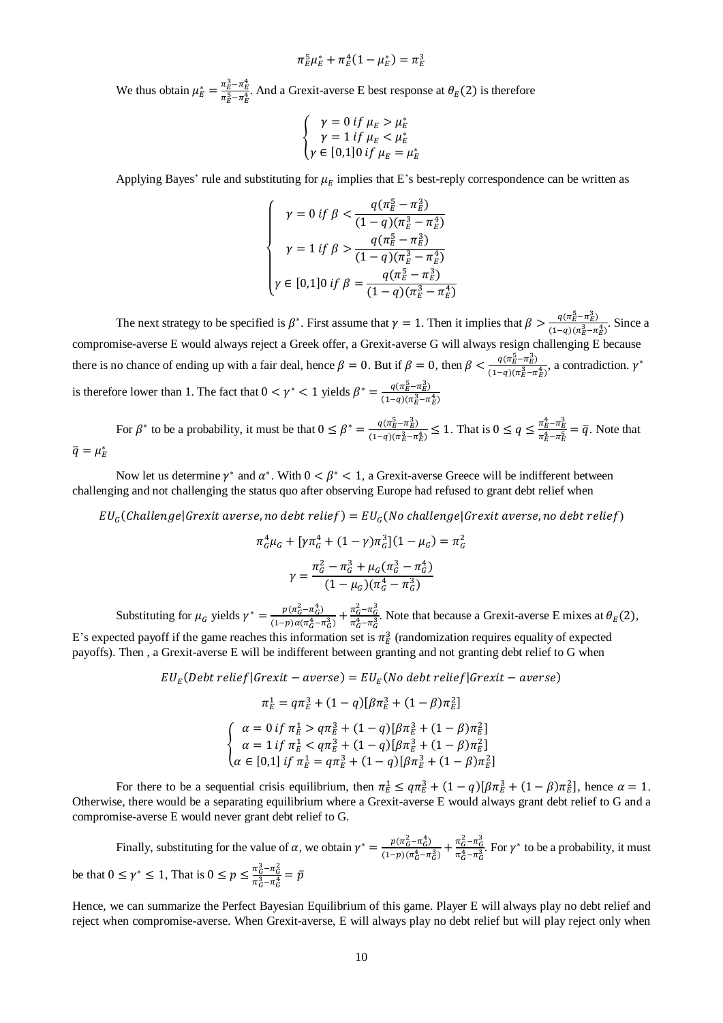$$
\pi_E^5 \mu_E^* + \pi_E^4 (1 - \mu_E^*) = \pi_E^3
$$

We thus obtain  $\mu_E^* = \frac{\pi_E^3 - \pi_E^4}{\pi_S^5 - \pi_A^4}$  $\frac{n_E - n_E}{\pi_E^5 - \pi_E^4}$ . And a Grexit-averse E best response at  $\theta_E(2)$  is therefore

$$
\begin{cases}\n\gamma = 0 \text{ if } \mu_E > \mu_E^* \\
\gamma = 1 \text{ if } \mu_E < \mu_E^* \\
\gamma \in [0,1] \text{0 if } \mu_E = \mu_E^*\n\end{cases}
$$

Applying Bayes' rule and substituting for  $\mu_E$  implies that E's best-reply correspondence can be written as

$$
\begin{cases}\n\gamma = 0 \text{ if } \beta < \frac{q(\pi_E^5 - \pi_E^2)}{(1 - q)(\pi_E^3 - \pi_E^4)} \\
\gamma = 1 \text{ if } \beta > \frac{q(\pi_E^5 - \pi_E^2)}{(1 - q)(\pi_E^3 - \pi_E^4)} \\
\gamma \in [0, 1] 0 \text{ if } \beta = \frac{q(\pi_E^5 - \pi_E^3)}{(1 - q)(\pi_E^3 - \pi_E^4)}\n\end{cases}
$$

The next strategy to be specified is  $\beta^*$ . First assume that  $\gamma = 1$ . Then it implies that  $\beta > \frac{q(\pi_B^5 - \pi_B^2)}{(1 - \alpha)(\pi_B^3 - \pi_A^2)}$  $\frac{q(n_E - n_E)}{(1-q)(\pi_E^3 - \pi_E^4)}$ . Since a compromise-averse E would always reject a Greek offer, a Grexit-averse G will always resign challenging E because there is no chance of ending up with a fair deal, hence  $\beta = 0$ . But if  $\beta = 0$ , then  $\beta < \frac{q(\pi \bar{B} - \pi_B^2)}{q(\pi \bar{B})^2}$  $\frac{q(\pi_E - \pi_E)}{(1-q)(\pi_E^3 - \pi_E^4)}$ , a contradiction.  $\gamma^*$ is therefore lower than 1. The fact that  $0 < \gamma^* < 1$  yields  $\beta^* = \frac{q(\pi_B^5 - \pi_B^3)}{(4-\gamma)(\pi_B^3 - \pi_B^3)}$  $(1-q)(\pi_E^3 - \pi_E^4)$ 

For  $\beta^*$  to be a probability, it must be that  $0 \leq \beta^* = \frac{q(\pi \bar{B} - \pi \bar{B})}{(1 - \alpha)(\pi \bar{B})}$  $\frac{q(\pi_E^5 - \pi_E^3)}{(1-q)(\pi_E^3 - \pi_E^4)}$  ≤ 1. That is  $0 \le q \le \frac{\pi_E^4 - \pi_E^3}{\pi_E^4 - \pi_E^5}$  $\frac{n_E - n_E}{\pi_E^4 - \pi_E^5} = \bar{q}$ . Note that  $\bar{q} = \mu_E^*$ 

Now let us determine  $\gamma^*$  and  $\alpha^*$ . With  $0 < \beta^* < 1$ , a Grexit-averse Greece will be indifferent between challenging and not challenging the status quo after observing Europe had refused to grant debt relief when

EU $_{G}$ (Challenge|Grexit averse, no debt relief) = EU $_{G}$ (No challenge|Grexit averse, no debt relief)

$$
\pi_G^4 \mu_G + \left[ \gamma \pi_G^4 + (1 - \gamma) \pi_G^3 \right] (1 - \mu_G) = \pi_G^2
$$

$$
\gamma = \frac{\pi_G^2 - \pi_G^3 + \mu_G (\pi_G^3 - \pi_G^4)}{(1 - \mu_G)(\pi_G^4 - \pi_G^2)}
$$

Substituting for  $\mu_G$  yields  $\gamma^* = \frac{p(\pi_G^2 - \pi_G^2)}{(1 - p)\alpha(\pi_A^2 - 1)}$  $\frac{p(\pi_G^2 - \pi_G^4)}{(1-p)\alpha(\pi_G^4 - \pi_G^3)} + \frac{\pi_G^2 - \pi_G^3}{\pi_G^4 - \pi_G^3}$  $\frac{n_G - n_G}{\pi_G^4 - \pi_G^3}$ . Note that because a Grexit-averse E mixes at  $\theta_E(2)$ , E's expected payoff if the game reaches this information set is  $\pi^3$  (randomization requires equality of expected payoffs). Then , a Grexit-averse E will be indifferent between granting and not granting debt relief to G when

$$
EU_E (Debt relief | Grexit - averse) = EU_E (No debt relief | Grexit - averse)
$$
  
\n
$$
\pi_E^1 = q\pi_E^3 + (1 - q)[\beta \pi_E^3 + (1 - \beta)\pi_E^2]
$$
  
\n
$$
\begin{cases}\n\alpha = 0 \text{ if } \pi_E^1 > q\pi_E^3 + (1 - q)[\beta \pi_E^3 + (1 - \beta)\pi_E^2] \\
\alpha = 1 \text{ if } \pi_E^1 < q\pi_E^3 + (1 - q)[\beta \pi_E^3 + (1 - \beta)\pi_E^2] \\
\alpha \in [0,1] \text{ if } \pi_E^1 = q\pi_E^3 + (1 - q)[\beta \pi_E^3 + (1 - \beta)\pi_E^2]\n\end{cases}
$$

For there to be a sequential crisis equilibrium, then  $\pi_E^1 \le q \pi_E^3 + (1-q)[\beta \pi_E^3 + (1-\beta) \pi_E^2]$ , hence  $\alpha = 1$ . Otherwise, there would be a separating equilibrium where a Grexit-averse E would always grant debt relief to G and a compromise-averse E would never grant debt relief to G.

Finally, substituting for the value of  $\alpha$ , we obtain  $\gamma^* = \frac{p(\pi_G^2 - \pi_G^4)}{(4 - \pi)(\pi_H^4 - \pi)}$  $\frac{p(\pi_G^2 - \pi_G^4)}{(1-p)(\pi_G^4 - \pi_G^3)} + \frac{\pi_G^2 - \pi_G^3}{\pi_G^4 - \pi_G^3}$  $\frac{\pi_G - \pi_G}{\pi_G^4 - \pi_G^3}$ . For  $\gamma^*$  to be a probability, it must be that  $0 \le \gamma^* \le 1$ , That is  $0 \le p \le \frac{\pi_0^2 - \pi_0^2}{2.3 - 4}$  $\frac{\pi_G - \pi_G}{\pi_G^3 - \pi_G^4} = \bar{p}$ 

Hence, we can summarize the Perfect Bayesian Equilibrium of this game. Player E will always play no debt relief and reject when compromise-averse. When Grexit-averse, E will always play no debt relief but will play reject only when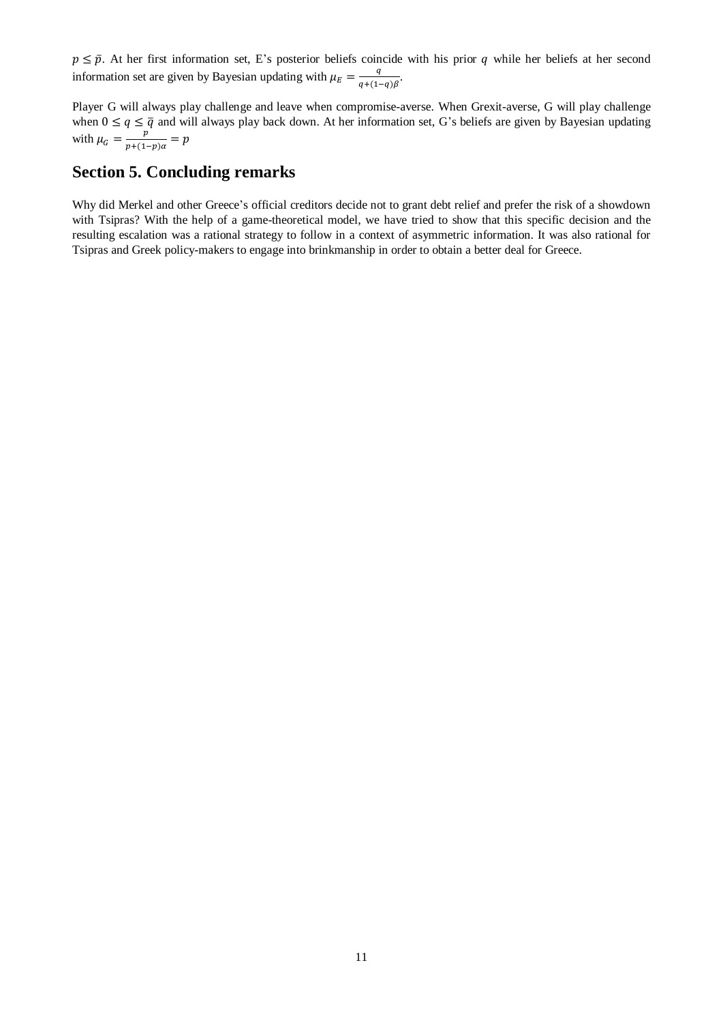$p \leq \bar{p}$ . At her first information set, E's posterior beliefs coincide with his prior q while her beliefs at her second information set are given by Bayesian updating with  $\mu_E = \frac{q}{q + 1}$  $\frac{q}{q+(1-q)\beta}$ .

Player G will always play challenge and leave when compromise-averse. When Grexit-averse, G will play challenge when  $0 \le q \le \bar{q}$  and will always play back down. At her information set, G's beliefs are given by Bayesian updating with  $\mu_G = \frac{p}{n + (1-p)}$  $\frac{p}{p+(1-p)\alpha} = p$ 

## **Section 5. Concluding remarks**

Why did Merkel and other Greece's official creditors decide not to grant debt relief and prefer the risk of a showdown with Tsipras? With the help of a game-theoretical model, we have tried to show that this specific decision and the resulting escalation was a rational strategy to follow in a context of asymmetric information. It was also rational for Tsipras and Greek policy-makers to engage into brinkmanship in order to obtain a better deal for Greece.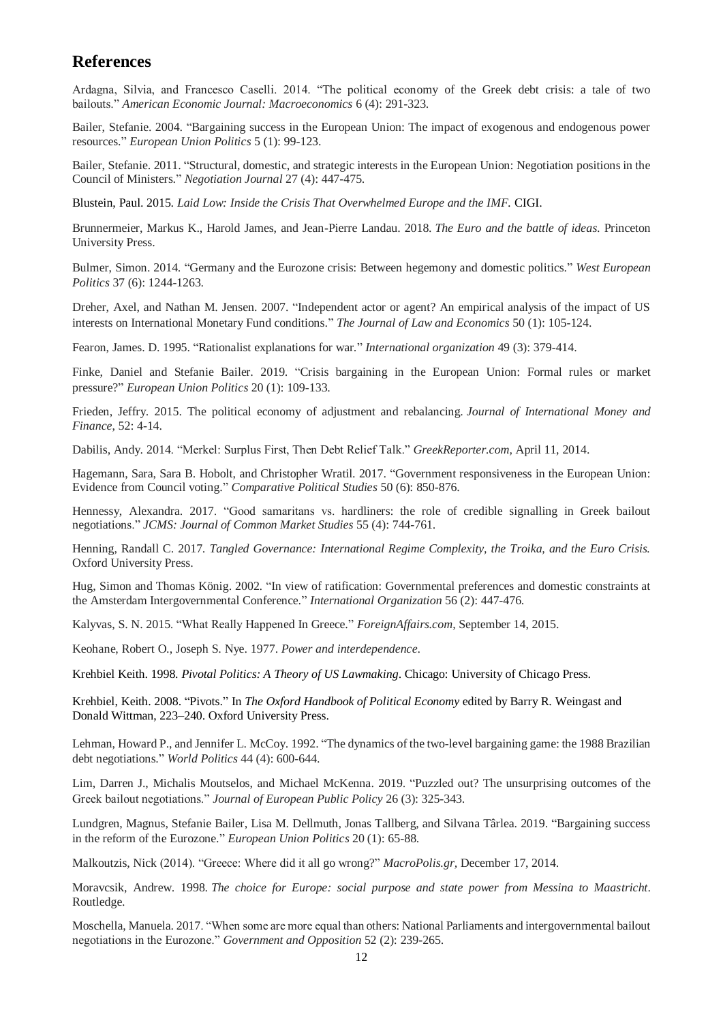# **References**

Ardagna, Silvia, and Francesco Caselli. 2014. "The political economy of the Greek debt crisis: a tale of two bailouts." *American Economic Journal: Macroeconomics* 6 (4): 291-323.

Bailer, Stefanie. 2004. "Bargaining success in the European Union: The impact of exogenous and endogenous power resources." *European Union Politics* 5 (1): 99-123.

Bailer, Stefanie. 2011. "Structural, domestic, and strategic interests in the European Union: Negotiation positions in the Council of Ministers." *Negotiation Journal* 27 (4): 447-475.

Blustein, Paul. 2015. *Laid Low: Inside the Crisis That Overwhelmed Europe and the IMF.* CIGI.

Brunnermeier, Markus K., Harold James, and Jean-Pierre Landau. 2018. *The Euro and the battle of ideas*. Princeton University Press.

Bulmer, Simon. 2014. "Germany and the Eurozone crisis: Between hegemony and domestic politics." *West European Politics* 37 (6): 1244-1263.

Dreher, Axel, and Nathan M. Jensen. 2007. "Independent actor or agent? An empirical analysis of the impact of US interests on International Monetary Fund conditions." *The Journal of Law and Economics* 50 (1): 105-124.

Fearon, James. D. 1995. "Rationalist explanations for war." *International organization* 49 (3): 379-414.

Finke, Daniel and Stefanie Bailer. 2019. "Crisis bargaining in the European Union: Formal rules or market pressure?" *European Union Politics* 20 (1): 109-133.

Frieden, Jeffry. 2015. The political economy of adjustment and rebalancing. *Journal of International Money and Finance*, 52: 4-14.

Dabilis, Andy. 2014. "Merkel: Surplus First, Then Debt Relief Talk." *GreekReporter.com,* April 11, 2014.

Hagemann, Sara, Sara B. Hobolt, and Christopher Wratil. 2017. "Government responsiveness in the European Union: Evidence from Council voting." *Comparative Political Studies* 50 (6): 850-876.

Hennessy, Alexandra. 2017. "Good samaritans vs. hardliners: the role of credible signalling in Greek bailout negotiations." *JCMS: Journal of Common Market Studies* 55 (4): 744-761.

Henning, Randall C. 2017. *Tangled Governance: International Regime Complexity, the Troika, and the Euro Crisis.* Oxford University Press.

Hug, Simon and Thomas König. 2002. "In view of ratification: Governmental preferences and domestic constraints at the Amsterdam Intergovernmental Conference." *International Organization* 56 (2): 447-476.

Kalyvas, S. N. 2015. "What Really Happened In Greece." *ForeignAffairs.com,* September 14, 2015.

Keohane, Robert O., Joseph S. Nye. 1977. *Power and interdependence*.

Krehbiel Keith. 1998. *Pivotal Politics: A Theory of US Lawmaking*. Chicago: University of Chicago Press.

Krehbiel, Keith. 2008. "Pivots." In *The Oxford Handbook of Political Economy* edited by Barry R. Weingast and Donald Wittman, 223–240. Oxford University Press.

Lehman, Howard P., and Jennifer L. McCoy. 1992. "The dynamics of the two-level bargaining game: the 1988 Brazilian debt negotiations." *World Politics* 44 (4): 600-644.

Lim, Darren J., Michalis Moutselos, and Michael McKenna. 2019. "Puzzled out? The unsurprising outcomes of the Greek bailout negotiations." *Journal of European Public Policy* 26 (3): 325-343.

Lundgren, Magnus, Stefanie Bailer, Lisa M. Dellmuth, Jonas Tallberg, and Silvana Târlea. 2019. "Bargaining success in the reform of the Eurozone." *European Union Politics* 20 (1): 65-88.

Malkoutzis, Nick (2014). "Greece: Where did it all go wrong?" *MacroPolis.gr,* December 17, 2014.

Moravcsik, Andrew. 1998. *The choice for Europe: social purpose and state power from Messina to Maastricht*. Routledge.

Moschella, Manuela. 2017. "When some are more equal than others: National Parliaments and intergovernmental bailout negotiations in the Eurozone." *Government and Opposition* 52 (2): 239-265.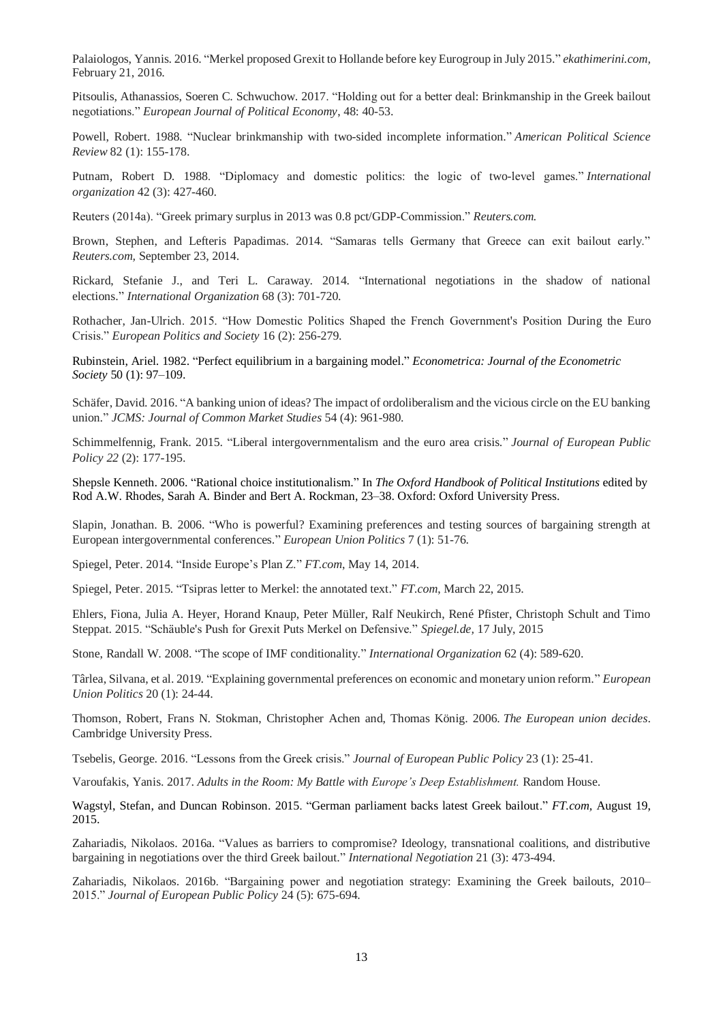Palaiologos, Yannis. 2016. "Merkel proposed Grexit to Hollande before key Eurogroup in July 2015." *[ekathimerini.com,](http://www.ekathimerini.com/)*  February 21, 2016.

Pitsoulis, Athanassios, Soeren C. Schwuchow. 2017. "Holding out for a better deal: Brinkmanship in the Greek bailout negotiations." *European Journal of Political Economy*, 48: 40-53.

Powell, Robert. 1988. "Nuclear brinkmanship with two-sided incomplete information." *American Political Science Review* 82 (1): 155-178.

Putnam, Robert D. 1988. "Diplomacy and domestic politics: the logic of two-level games." *International organization* 42 (3): 427-460.

Reuters (2014a). "Greek primary surplus in 2013 was 0.8 pct/GDP-Commission." *Reuters.com.*

Brown, Stephen, and Lefteris Papadimas. 2014. "Samaras tells Germany that Greece can exit bailout early." *Reuters.com,* September 23, 2014.

Rickard, Stefanie J., and Teri L. Caraway. 2014. "International negotiations in the shadow of national elections." *International Organization* 68 (3): 701-720.

Rothacher, Jan-Ulrich. 2015. "How Domestic Politics Shaped the French Government's Position During the Euro Crisis." *European Politics and Society* 16 (2): 256-279.

Rubinstein, Ariel. 1982. "Perfect equilibrium in a bargaining model." *Econometrica: Journal of the Econometric Society* 50 (1): 97–109.

Schäfer, David. 2016. "A banking union of ideas? The impact of ordoliberalism and the vicious circle on the EU banking union." *JCMS: Journal of Common Market Studies* 54 (4): 961-980.

Schimmelfennig, Frank. 2015. "Liberal intergovernmentalism and the euro area crisis." *Journal of European Public Policy 22* (2): 177-195.

Shepsle Kenneth. 2006. "Rational choice institutionalism." In *The Oxford Handbook of Political Institutions* edited by Rod A.W. Rhodes, Sarah A. Binder and Bert A. Rockman, 23–38. Oxford: Oxford University Press.

Slapin, Jonathan. B. 2006. "Who is powerful? Examining preferences and testing sources of bargaining strength at European intergovernmental conferences." *European Union Politics* 7 (1): 51-76.

Spiegel, Peter. 2014. "Inside Europe's Plan Z." *FT.com*, May 14, 2014.

Spiegel, Peter. 2015. "Tsipras letter to Merkel: the annotated text." *FT.com*, March 22, 2015.

Ehlers, Fiona, Julia A. Heyer, Horand Knaup, Peter Müller, Ralf Neukirch, René Pfister, Christoph Schult and Timo Steppat. 2015. "Schäuble's Push for Grexit Puts Merkel on Defensive." *Spiegel.de,* 17 July, 2015

Stone, Randall W. 2008. "The scope of IMF conditionality." *International Organization* 62 (4): 589-620.

Târlea, Silvana, et al. 2019. "Explaining governmental preferences on economic and monetary union reform." *European Union Politics* 20 (1): 24-44.

Thomson, Robert, Frans N. Stokman, Christopher Achen and, Thomas König. 2006. *The European union decides*. Cambridge University Press.

Tsebelis, George. 2016. "Lessons from the Greek crisis." *Journal of European Public Policy* 23 (1): 25-41.

Varoufakis, Yanis. 2017. *Adults in the Room: My Battle with Europe's Deep Establishment.* Random House.

Wagstyl, Stefan, and Duncan Robinson. 2015. "German parliament backs latest Greek bailout." *FT.com,* August 19, 2015.

Zahariadis, Nikolaos. 2016a. "Values as barriers to compromise? Ideology, transnational coalitions, and distributive bargaining in negotiations over the third Greek bailout." *International Negotiation* 21 (3): 473-494.

Zahariadis, Nikolaos. 2016b. "Bargaining power and negotiation strategy: Examining the Greek bailouts, 2010– 2015." *Journal of European Public Policy* 24 (5): 675-694.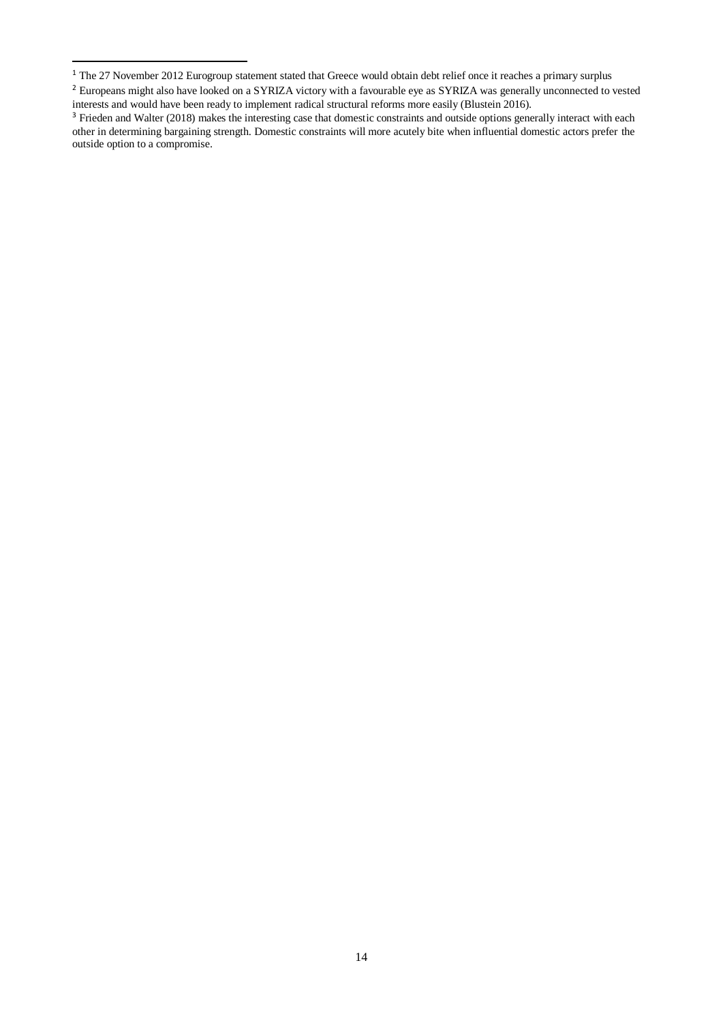1

<sup>&</sup>lt;sup>1</sup> The 27 November 2012 Eurogroup statement stated that Greece would obtain debt relief once it reaches a primary surplus

<sup>&</sup>lt;sup>2</sup> Europeans might also have looked on a SYRIZA victory with a favourable eye as SYRIZA was generally unconnected to vested interests and would have been ready to implement radical structural reforms more easily (Blustein 2016).

<sup>&</sup>lt;sup>3</sup> Frieden and Walter (2018) makes the interesting case that domestic constraints and outside options generally interact with each other in determining bargaining strength. Domestic constraints will more acutely bite when influential domestic actors prefer the outside option to a compromise.